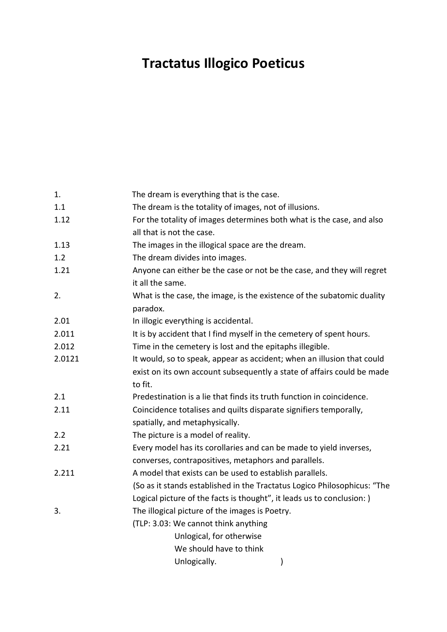## **Tractatus Illogico Poeticus**

| 1.     | The dream is everything that is the case.                                |  |  |
|--------|--------------------------------------------------------------------------|--|--|
| 1.1    | The dream is the totality of images, not of illusions.                   |  |  |
| 1.12   | For the totality of images determines both what is the case, and also    |  |  |
|        | all that is not the case.                                                |  |  |
| 1.13   | The images in the illogical space are the dream.                         |  |  |
| 1.2    | The dream divides into images.                                           |  |  |
| 1.21   | Anyone can either be the case or not be the case, and they will regret   |  |  |
|        | it all the same.                                                         |  |  |
| 2.     | What is the case, the image, is the existence of the subatomic duality   |  |  |
|        | paradox.                                                                 |  |  |
| 2.01   | In illogic everything is accidental.                                     |  |  |
| 2.011  | It is by accident that I find myself in the cemetery of spent hours.     |  |  |
| 2.012  | Time in the cemetery is lost and the epitaphs illegible.                 |  |  |
| 2.0121 | It would, so to speak, appear as accident; when an illusion that could   |  |  |
|        | exist on its own account subsequently a state of affairs could be made   |  |  |
|        | to fit.                                                                  |  |  |
| 2.1    | Predestination is a lie that finds its truth function in coincidence.    |  |  |
| 2.11   | Coincidence totalises and quilts disparate signifiers temporally,        |  |  |
|        | spatially, and metaphysically.                                           |  |  |
| 2.2    | The picture is a model of reality.                                       |  |  |
| 2.21   | Every model has its corollaries and can be made to yield inverses,       |  |  |
|        | converses, contrapositives, metaphors and parallels.                     |  |  |
| 2.211  | A model that exists can be used to establish parallels.                  |  |  |
|        | (So as it stands established in the Tractatus Logico Philosophicus: "The |  |  |
|        | Logical picture of the facts is thought", it leads us to conclusion: )   |  |  |
| 3.     | The illogical picture of the images is Poetry.                           |  |  |
|        | (TLP: 3.03: We cannot think anything                                     |  |  |
|        | Unlogical, for otherwise                                                 |  |  |
|        | We should have to think                                                  |  |  |
|        | Unlogically.<br>)                                                        |  |  |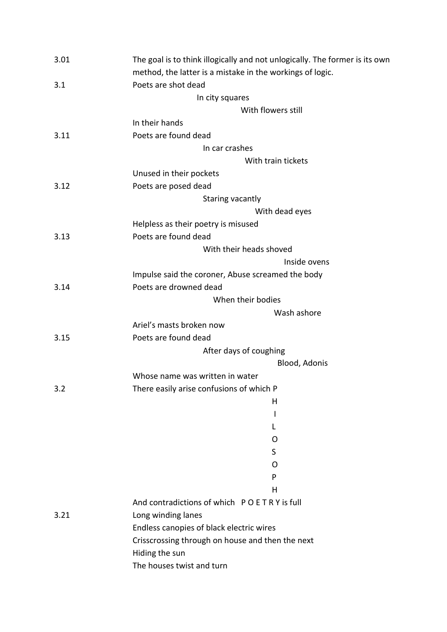| The goal is to think illogically and not unlogically. The former is its own |
|-----------------------------------------------------------------------------|
|                                                                             |
|                                                                             |
|                                                                             |
|                                                                             |
|                                                                             |
|                                                                             |
|                                                                             |
|                                                                             |
|                                                                             |
|                                                                             |
|                                                                             |
|                                                                             |
|                                                                             |
|                                                                             |
|                                                                             |
|                                                                             |
|                                                                             |
|                                                                             |
|                                                                             |
|                                                                             |
|                                                                             |
|                                                                             |
|                                                                             |
|                                                                             |
|                                                                             |
|                                                                             |
|                                                                             |
|                                                                             |
|                                                                             |
|                                                                             |
|                                                                             |
|                                                                             |
|                                                                             |
|                                                                             |
|                                                                             |
|                                                                             |
|                                                                             |
|                                                                             |
|                                                                             |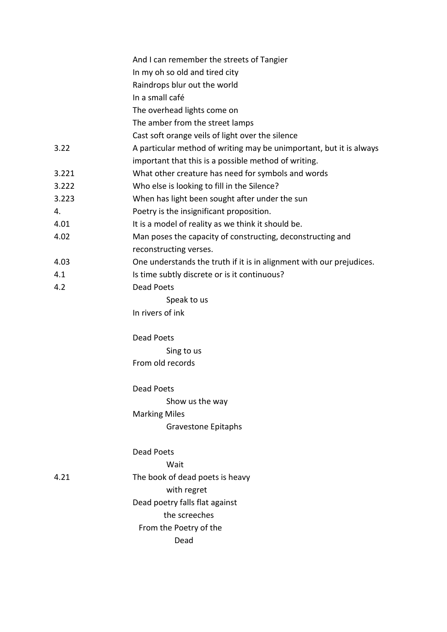|       | And I can remember the streets of Tangier                            |
|-------|----------------------------------------------------------------------|
|       | In my oh so old and tired city                                       |
|       | Raindrops blur out the world                                         |
|       | In a small café                                                      |
|       | The overhead lights come on                                          |
|       | The amber from the street lamps                                      |
|       | Cast soft orange veils of light over the silence                     |
| 3.22  | A particular method of writing may be unimportant, but it is always  |
|       | important that this is a possible method of writing.                 |
| 3.221 | What other creature has need for symbols and words                   |
| 3.222 | Who else is looking to fill in the Silence?                          |
| 3.223 | When has light been sought after under the sun                       |
| 4.    | Poetry is the insignificant proposition.                             |
| 4.01  | It is a model of reality as we think it should be.                   |
| 4.02  | Man poses the capacity of constructing, deconstructing and           |
|       | reconstructing verses.                                               |
| 4.03  | One understands the truth if it is in alignment with our prejudices. |
| 4.1   | Is time subtly discrete or is it continuous?                         |
| 4.2   | Dead Poets                                                           |
|       | Speak to us                                                          |
|       | In rivers of ink                                                     |
|       | <b>Dead Poets</b>                                                    |
|       | Sing to us                                                           |
|       | From old records                                                     |
|       | Dead Poets                                                           |
|       | Show us the way                                                      |
|       | <b>Marking Miles</b>                                                 |
|       | <b>Gravestone Epitaphs</b>                                           |
|       | Dead Poets                                                           |
|       | Wait                                                                 |
| 4.21  | The book of dead poets is heavy                                      |
|       | with regret                                                          |
|       | Dead poetry falls flat against                                       |
|       | the screeches                                                        |
|       | From the Poetry of the                                               |
|       | Dead                                                                 |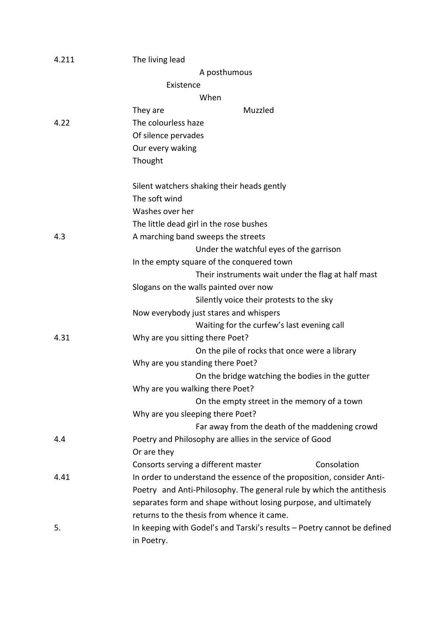| 4.211 | The living lead                                                                       |
|-------|---------------------------------------------------------------------------------------|
|       | A posthumous                                                                          |
|       | Existence                                                                             |
|       | When                                                                                  |
|       | Muzzled<br>They are                                                                   |
| 4.22  | The colourless haze                                                                   |
|       | Of silence pervades                                                                   |
|       | Our every waking                                                                      |
|       | Thought                                                                               |
|       | Silent watchers shaking their heads gently                                            |
|       | The soft wind                                                                         |
|       | Washes over her                                                                       |
|       | The little dead girl in the rose bushes                                               |
| 4.3   | A marching band sweeps the streets                                                    |
|       | Under the watchful eyes of the garrison                                               |
|       | In the empty square of the conquered town                                             |
|       | Their instruments wait under the flag at half mast                                    |
|       | Slogans on the walls painted over now                                                 |
|       | Silently voice their protests to the sky                                              |
|       | Now everybody just stares and whispers                                                |
|       | Waiting for the curfew's last evening call                                            |
| 4.31  | Why are you sitting there Poet?                                                       |
|       | On the pile of rocks that once were a library                                         |
|       | Why are you standing there Poet?                                                      |
|       | On the bridge watching the bodies in the gutter                                       |
|       | Why are you walking there Poet?                                                       |
|       | On the empty street in the memory of a town                                           |
|       | Why are you sleeping there Poet?                                                      |
|       | Far away from the death of the maddening crowd                                        |
| 4.4   | Poetry and Philosophy are allies in the service of Good                               |
|       | Or are they                                                                           |
|       | Consolation<br>Consorts serving a different master                                    |
| 4.41  | In order to understand the essence of the proposition, consider Anti-                 |
|       | Poetry and Anti-Philosophy. The general rule by which the antithesis                  |
|       | separates form and shape without losing purpose, and ultimately                       |
|       | returns to the thesis from whence it came.                                            |
| 5.    | In keeping with Godel's and Tarski's results - Poetry cannot be defined<br>in Poetry. |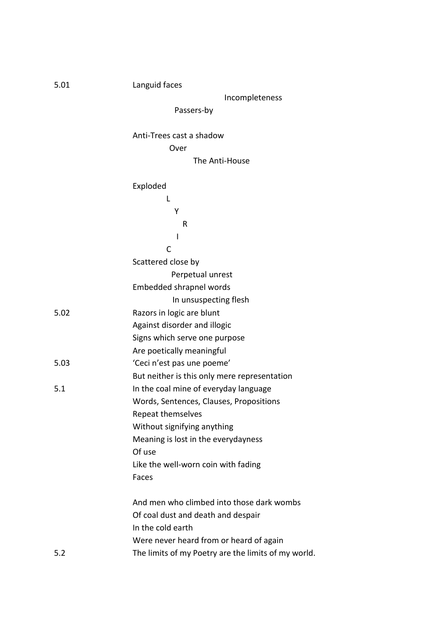| 5.01 | Languid faces                                       |
|------|-----------------------------------------------------|
|      | Incompleteness                                      |
|      | Passers-by                                          |
|      | Anti-Trees cast a shadow                            |
|      | Over                                                |
|      | The Anti-House                                      |
|      | Exploded                                            |
|      | L                                                   |
|      | Υ                                                   |
|      | R                                                   |
|      | I                                                   |
|      | C                                                   |
|      | Scattered close by                                  |
|      | Perpetual unrest                                    |
|      | Embedded shrapnel words                             |
|      | In unsuspecting flesh                               |
| 5.02 | Razors in logic are blunt                           |
|      | Against disorder and illogic                        |
|      | Signs which serve one purpose                       |
|      | Are poetically meaningful                           |
| 5.03 | 'Ceci n'est pas une poeme'                          |
|      | But neither is this only mere representation        |
| 5.1  | In the coal mine of everyday language               |
|      | Words, Sentences, Clauses, Propositions             |
|      | Repeat themselves                                   |
|      | Without signifying anything                         |
|      | Meaning is lost in the everydayness                 |
|      | Of use                                              |
|      | Like the well-worn coin with fading                 |
|      | Faces                                               |
|      | And men who climbed into those dark wombs           |
|      | Of coal dust and death and despair                  |
|      | In the cold earth                                   |
|      | Were never heard from or heard of again             |
| 5.2  | The limits of my Poetry are the limits of my world. |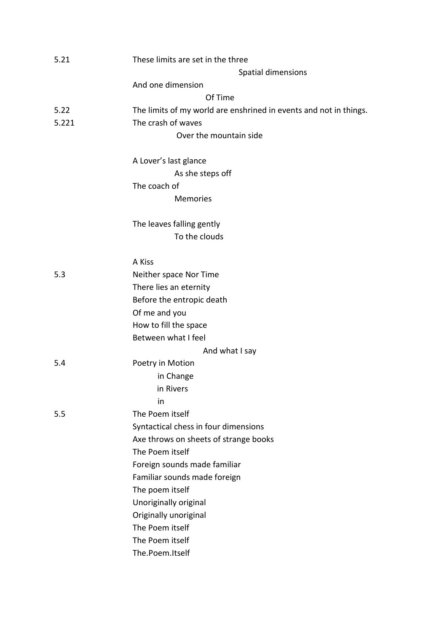| 5.21  | These limits are set in the three                                 |
|-------|-------------------------------------------------------------------|
|       | Spatial dimensions                                                |
|       | And one dimension                                                 |
|       | Of Time                                                           |
| 5.22  | The limits of my world are enshrined in events and not in things. |
| 5.221 | The crash of waves                                                |
|       | Over the mountain side                                            |
|       | A Lover's last glance                                             |
|       | As she steps off                                                  |
|       | The coach of                                                      |
|       | <b>Memories</b>                                                   |
|       | The leaves falling gently                                         |
|       | To the clouds                                                     |
|       | A Kiss                                                            |
| 5.3   | Neither space Nor Time                                            |
|       | There lies an eternity                                            |
|       | Before the entropic death                                         |
|       | Of me and you                                                     |
|       | How to fill the space                                             |
|       | Between what I feel                                               |
|       | And what I say                                                    |
| 5.4   | Poetry in Motion                                                  |
|       | in Change                                                         |
|       | in Rivers                                                         |
|       | in                                                                |
| 5.5   | The Poem itself                                                   |
|       | Syntactical chess in four dimensions                              |
|       | Axe throws on sheets of strange books                             |
|       | The Poem itself                                                   |
|       | Foreign sounds made familiar                                      |
|       | Familiar sounds made foreign                                      |
|       | The poem itself                                                   |
|       | Unoriginally original                                             |
|       | Originally unoriginal                                             |
|       | The Poem itself                                                   |
|       | The Poem itself                                                   |
|       | The.Poem.Itself                                                   |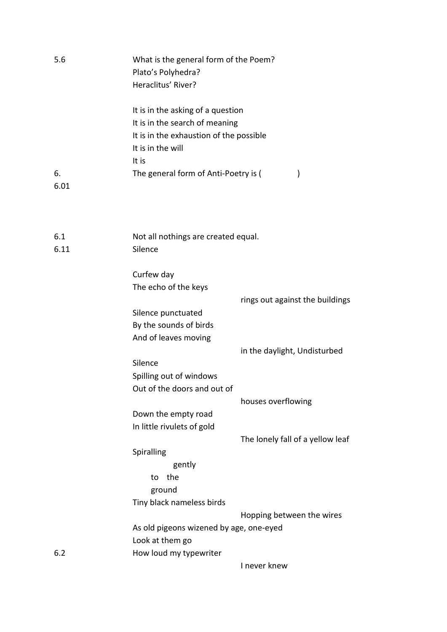| 5.6        | What is the general form of the Poem?<br>Plato's Polyhedra?<br>Heraclitus' River?                              |
|------------|----------------------------------------------------------------------------------------------------------------|
|            | It is in the asking of a question<br>It is in the search of meaning<br>It is in the exhaustion of the possible |
|            | It is in the will                                                                                              |
|            | It is                                                                                                          |
| 6.<br>6.01 | The general form of Anti-Poetry is (<br>)                                                                      |
| 6.1        | Not all nothings are created equal.                                                                            |
| 6.11       | Silence                                                                                                        |
|            | Curfew day                                                                                                     |
|            | The echo of the keys                                                                                           |
|            | rings out against the buildings                                                                                |
|            | Silence punctuated                                                                                             |
|            | By the sounds of birds                                                                                         |
|            | And of leaves moving                                                                                           |
|            | in the daylight, Undisturbed                                                                                   |
|            | Silence                                                                                                        |
|            | Spilling out of windows                                                                                        |
|            | Out of the doors and out of                                                                                    |
|            | houses overflowing                                                                                             |
|            | Down the empty road                                                                                            |
|            | In little rivulets of gold                                                                                     |
|            | The lonely fall of a yellow leaf                                                                               |
|            | Spiralling                                                                                                     |
|            | gently                                                                                                         |
|            | the<br>to                                                                                                      |
|            | ground                                                                                                         |
|            | Tiny black nameless birds                                                                                      |
|            | Hopping between the wires                                                                                      |
|            | As old pigeons wizened by age, one-eyed                                                                        |
|            | Look at them go                                                                                                |
| 6.2        | How loud my typewriter                                                                                         |
|            | I never knew                                                                                                   |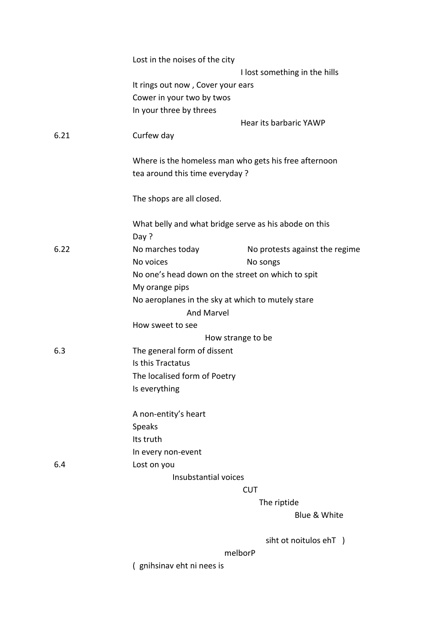|      | Lost in the noises of the city    |                                                       |
|------|-----------------------------------|-------------------------------------------------------|
|      |                                   | I lost something in the hills                         |
|      | It rings out now, Cover your ears |                                                       |
|      | Cower in your two by twos         |                                                       |
|      | In your three by threes           |                                                       |
|      |                                   | Hear its barbaric YAWP                                |
| 6.21 | Curfew day                        |                                                       |
|      |                                   | Where is the homeless man who gets his free afternoon |
|      | tea around this time everyday?    |                                                       |
|      | The shops are all closed.         |                                                       |
|      |                                   | What belly and what bridge serve as his abode on this |
|      | Day?                              |                                                       |
| 6.22 | No marches today                  | No protests against the regime                        |
|      | No voices                         | No songs                                              |
|      |                                   | No one's head down on the street on which to spit     |
|      | My orange pips                    |                                                       |
|      |                                   | No aeroplanes in the sky at which to mutely stare     |
|      | <b>And Marvel</b>                 |                                                       |
|      | How sweet to see                  |                                                       |
|      |                                   | How strange to be                                     |
| 6.3  | The general form of dissent       |                                                       |
|      | Is this Tractatus                 |                                                       |
|      | The localised form of Poetry      |                                                       |
|      | Is everything                     |                                                       |
|      | A non-entity's heart              |                                                       |
|      | Speaks                            |                                                       |
|      | Its truth                         |                                                       |
|      | In every non-event                |                                                       |
| 6.4  | Lost on you                       |                                                       |
|      | Insubstantial voices              |                                                       |
|      |                                   | <b>CUT</b>                                            |
|      |                                   | The riptide                                           |
|      |                                   | Blue & White                                          |
|      |                                   | siht ot noitulos ehT )                                |
|      |                                   | melborP                                               |
|      | (gnihsinav eht ni nees is         |                                                       |